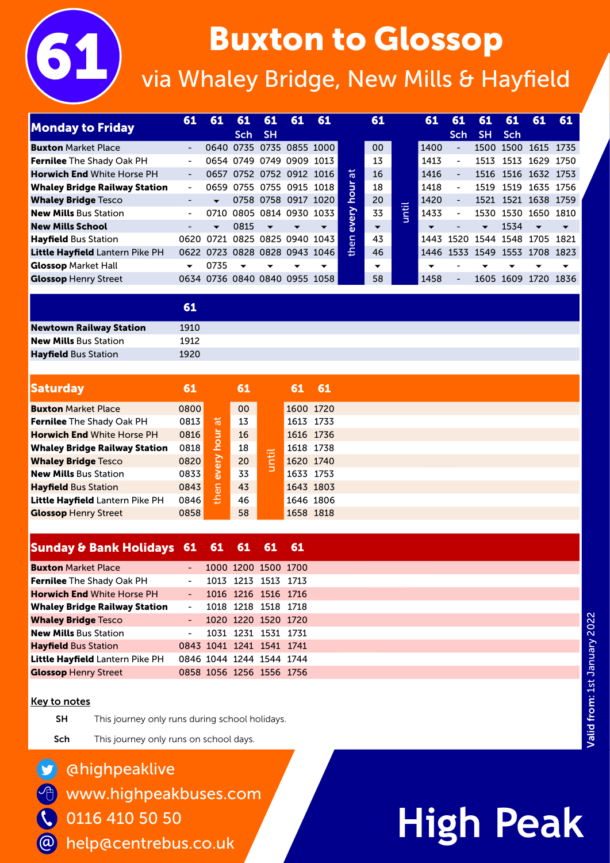# **Buxton to Glossop**<br>via Whaley Bridge, New Mills & Hayfield

| <b>Monday to Friday</b>              | 61                       | 61                       | 61<br>Sch                | 61<br>- SH               | 61                            | 61                       |            | 61                       |                                | 61                       | 61<br><b>Sch</b>             | 61<br><b>SH</b>          | 61<br><b>Sch</b> | 61                       | 61    |
|--------------------------------------|--------------------------|--------------------------|--------------------------|--------------------------|-------------------------------|--------------------------|------------|--------------------------|--------------------------------|--------------------------|------------------------------|--------------------------|------------------|--------------------------|-------|
| <b>Buxton</b> Market Place           |                          |                          |                          |                          |                               | 0640 0735 0735 0855 1000 |            | 0 <sub>0</sub>           |                                | 1400                     | $\overline{\phantom{a}}$     | 1500                     | 1500             | 1615                     | 1735  |
| <b>Fernilee</b> The Shady Oak PH     |                          |                          |                          |                          | 0654 0749 0749 0909 1013      |                          |            | 13                       |                                | 1413                     | $\qquad \qquad \blacksquare$ | 1513                     | 1513             | 1629                     | 1750  |
| <b>Horwich End White Horse PH</b>    | $\overline{\phantom{0}}$ |                          |                          |                          | 0657 0752 0752 0912 1016      |                          | ᄫ          | 16                       |                                | 1416                     | $\blacksquare$               |                          |                  | 1516 1516 1632 1753      |       |
| <b>Whaley Bridge Railway Station</b> | $\overline{\phantom{0}}$ |                          |                          |                          | 0659 0755 0755 0915 1018      |                          | Б          | 18                       |                                | 1418                     | $\sim$                       | 1519                     | 1519             | 1635 1756                |       |
| <b>Whaley Bridge Tesco</b>           |                          | $\overline{\phantom{a}}$ |                          |                          | 0758 0758 0917 1020           |                          | c          | 20                       | $\overline{\phantom{0}}$<br>-- | 1420                     | $\blacksquare$               |                          |                  | 1521 1521 1638 1759      |       |
| <b>New Mills Bus Station</b>         |                          | 0710                     |                          |                          | 0805 0814 0930 1033           |                          | <b>Pro</b> | 33                       | Ħ                              | 1433                     | $\blacksquare$               | 1530                     | 1530             | 1650                     | 1810  |
| <b>New Mills School</b>              |                          | $\overline{\phantom{a}}$ | 0815                     | $\overline{\phantom{0}}$ | $\overline{\phantom{a}}$      | $\overline{\phantom{a}}$ | ۵D         | $\overline{\phantom{a}}$ |                                | $\overline{\phantom{a}}$ |                              | $\overline{\phantom{a}}$ | 1534             | $\overline{\phantom{a}}$ |       |
| <b>Hayfield Bus Station</b>          | 0620.                    | 0721                     | 0825                     |                          | 0825 0940 1043                |                          | en         | 43                       |                                | 1443                     | 1520                         | 1544                     | 1548             | 1705                     | 1821  |
| Little Hayfield Lantern Pike PH      |                          |                          |                          |                          | 0622 0723 0828 0828 0943 1046 |                          | 훈          | 46                       |                                | 1446                     | 1533                         | 1549                     | 1553             | 1708                     | -1823 |
| <b>Glossop Market Hall</b>           | $\overline{\phantom{a}}$ | 0735                     | $\overline{\phantom{a}}$ | $\overline{\phantom{a}}$ | $\overline{\phantom{a}}$      | $\overline{\phantom{a}}$ |            | $\overline{\phantom{a}}$ |                                |                          |                              |                          |                  |                          | ▼     |
| <b>Glossop Henry Street</b>          |                          |                          |                          |                          | 0634 0736 0840 0840 0955 1058 |                          |            | 58                       |                                | 1458                     | $\overline{\phantom{0}}$     | 1605                     | 1609             | 1720                     | 1836  |

61 **Newtown Railway Station** 1910 New Mills Bus Station 1912 Hayfield Bus Station 1920

| Saturday                             | 61   |          | 61              |          | 61        | - 61 |
|--------------------------------------|------|----------|-----------------|----------|-----------|------|
| <b>Buxton</b> Market Place           | 0800 |          | 00 <sub>o</sub> |          | 1600 1720 |      |
| <b>Fernilee</b> The Shady Oak PH     | 0813 | 尚        | 13              |          | 1613 1733 |      |
| <b>Horwich End White Horse PH</b>    | 0816 | ⋾        | 16              |          | 1616 1736 |      |
| <b>Whaley Bridge Railway Station</b> | 0818 | <u>o</u> | 18              | ۔<br>$-$ | 1618 1738 |      |
| <b>Whaley Bridge Tesco</b>           | 0820 | ΘŊ       | 20              | ビ        | 1620 1740 |      |
| <b>New Mills Bus Station</b>         | 0833 | ້<br>@   | 33              |          | 1633 1753 |      |
| <b>Hayfield Bus Station</b>          | 0843 | lခု      | 43              |          | 1643 1803 |      |
| Little Hayfield Lantern Pike PH      | 0846 | Ě        | 46              |          | 1646 1806 |      |
| <b>Glossop</b> Henry Street          | 0858 |          | 58              |          | 1658 1818 |      |

### Sunday & Bank Holidays 61 61 61 61 61

| <b>Buxton Market Place</b>           |                     |  | 1000 1200 1500 1700      |  |
|--------------------------------------|---------------------|--|--------------------------|--|
| Fernilee The Shady Oak PH            | $\blacksquare$      |  | 1013 1213 1513 1713      |  |
| <b>Horwich End White Horse PH</b>    | $\omega_{\rm{max}}$ |  | 1016 1216 1516 1716      |  |
| <b>Whaley Bridge Railway Station</b> | $\Delta \sim 100$   |  | 1018 1218 1518 1718      |  |
| <b>Whaley Bridge Tesco</b>           |                     |  | - 1020 1220 1520 1720    |  |
| <b>New Mills Bus Station</b>         | $\Delta \sim 100$   |  | 1031 1231 1531 1731      |  |
| <b>Hayfield Bus Station</b>          |                     |  | 0843 1041 1241 1541 1741 |  |
| Little Hayfield Lantern Pike PH      |                     |  | 0846 1044 1244 1544 1744 |  |
| <b>Glossop Henry Street</b>          |                     |  | 0858 1056 1256 1556 1756 |  |

#### Key to notes

仓

 $\bullet$ 

@

**SH** This journey only runs during school holidays.

Sch This journey only runs on school days.

### @highpeaklive

www.highpeakbuses.com

0116 410 50 50  $\overline{\mathcal{C}}$ 

help@centrebus.co.uk

## **High Peak**